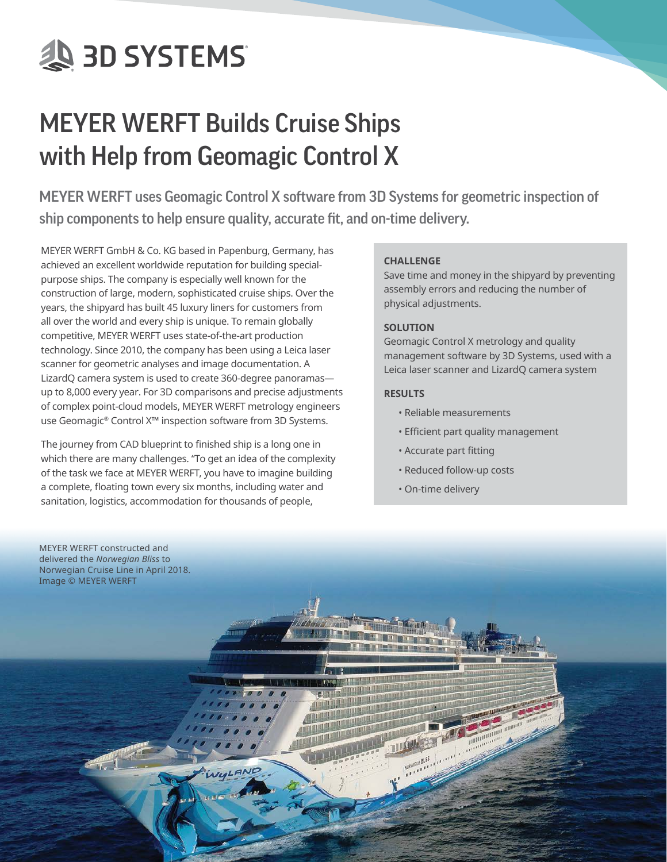# **AS 3D SYSTEMS**

# MEYER WERFT Builds Cruise Ships with Help from Geomagic Control X

MEYER WERFT uses Geomagic Control X software from 3D Systems for geometric inspection of ship components to help ensure quality, accurate fit, and on-time delivery.

MEYER WERFT GmbH & Co. KG based in Papenburg, Germany, has achieved an excellent worldwide reputation for building specialpurpose ships. The company is especially well known for the construction of large, modern, sophisticated cruise ships. Over the years, the shipyard has built 45 luxury liners for customers from all over the world and every ship is unique. To remain globally competitive, MEYER WERFT uses state-of-the-art production technology. Since 2010, the company has been using a Leica laser scanner for geometric analyses and image documentation. A LizardQ camera system is used to create 360-degree panoramas up to 8,000 every year. For 3D comparisons and precise adjustments of complex point-cloud models, MEYER WERFT metrology engineers use Geomagic® Control X™ inspection software from 3D Systems.

The journey from CAD blueprint to finished ship is a long one in which there are many challenges. "To get an idea of the complexity of the task we face at MEYER WERFT, you have to imagine building a complete, floating town every six months, including water and sanitation, logistics, accommodation for thousands of people,

# **CHALLENGE**

Save time and money in the shipyard by preventing assembly errors and reducing the number of physical adjustments.

### **SOLUTION**

Geomagic Control X metrology and quality management software by 3D Systems, used with a Leica laser scanner and LizardQ camera system

# **RESULTS**

- Reliable measurements
- Efficient part quality management
- Accurate part fitting
- Reduced follow-up costs
- On-time delivery

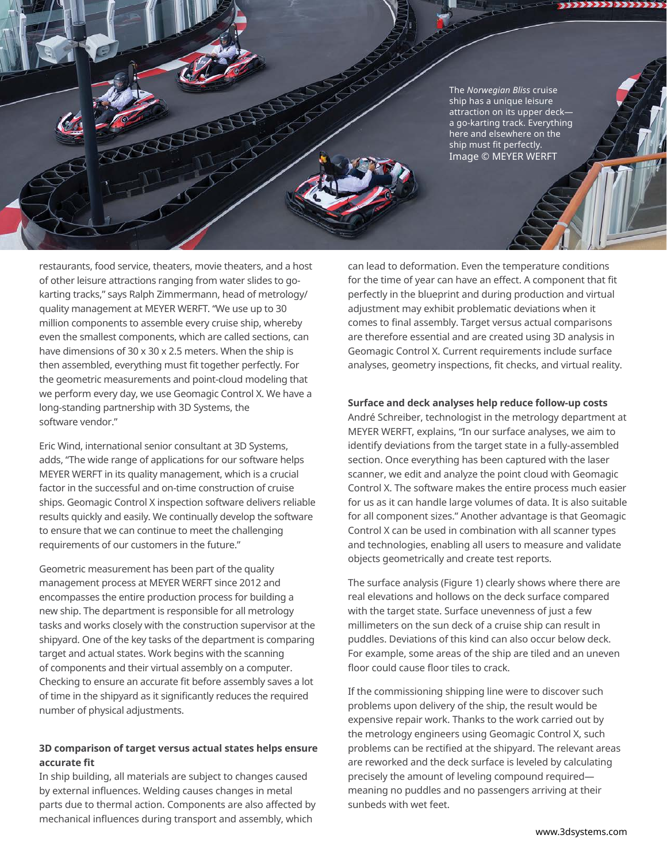The *Norwegian Bliss* cruise ship has a unique leisure attraction on its upper deck a go-karting track. Everything here and elsewhere on the ship must fit perfectly. Image © MEYER WERFT

restaurants, food service, theaters, movie theaters, and a host of other leisure attractions ranging from water slides to gokarting tracks," says Ralph Zimmermann, head of metrology/ quality management at MEYER WERFT. "We use up to 30 million components to assemble every cruise ship, whereby even the smallest components, which are called sections, can have dimensions of 30 x 30 x 2.5 meters. When the ship is then assembled, everything must fit together perfectly. For the geometric measurements and point-cloud modeling that we perform every day, we use Geomagic Control X. We have a long-standing partnership with 3D Systems, the software vendor."

SOLOOM

Eric Wind, international senior consultant at 3D Systems, adds, "The wide range of applications for our software helps MEYER WERFT in its quality management, which is a crucial factor in the successful and on-time construction of cruise ships. Geomagic Control X inspection software delivers reliable results quickly and easily. We continually develop the software to ensure that we can continue to meet the challenging requirements of our customers in the future."

Geometric measurement has been part of the quality management process at MEYER WERFT since 2012 and encompasses the entire production process for building a new ship. The department is responsible for all metrology tasks and works closely with the construction supervisor at the shipyard. One of the key tasks of the department is comparing target and actual states. Work begins with the scanning of components and their virtual assembly on a computer. Checking to ensure an accurate fit before assembly saves a lot of time in the shipyard as it significantly reduces the required number of physical adjustments.

# **3D comparison of target versus actual states helps ensure accurate fit**

In ship building, all materials are subject to changes caused by external influences. Welding causes changes in metal parts due to thermal action. Components are also affected by mechanical influences during transport and assembly, which

can lead to deformation. Even the temperature conditions for the time of year can have an effect. A component that fit perfectly in the blueprint and during production and virtual adjustment may exhibit problematic deviations when it comes to final assembly. Target versus actual comparisons are therefore essential and are created using 3D analysis in Geomagic Control X. Current requirements include surface analyses, geometry inspections, fit checks, and virtual reality.

#### **Surface and deck analyses help reduce follow-up costs**

André Schreiber, technologist in the metrology department at MEYER WERFT, explains, "In our surface analyses, we aim to identify deviations from the target state in a fully-assembled section. Once everything has been captured with the laser scanner, we edit and analyze the point cloud with Geomagic Control X. The software makes the entire process much easier for us as it can handle large volumes of data. It is also suitable for all component sizes." Another advantage is that Geomagic Control X can be used in combination with all scanner types and technologies, enabling all users to measure and validate objects geometrically and create test reports.

The surface analysis (Figure 1) clearly shows where there are real elevations and hollows on the deck surface compared with the target state. Surface unevenness of just a few millimeters on the sun deck of a cruise ship can result in puddles. Deviations of this kind can also occur below deck. For example, some areas of the ship are tiled and an uneven floor could cause floor tiles to crack.

If the commissioning shipping line were to discover such problems upon delivery of the ship, the result would be expensive repair work. Thanks to the work carried out by the metrology engineers using Geomagic Control X, such problems can be rectified at the shipyard. The relevant areas are reworked and the deck surface is leveled by calculating precisely the amount of leveling compound required meaning no puddles and no passengers arriving at their sunbeds with wet feet.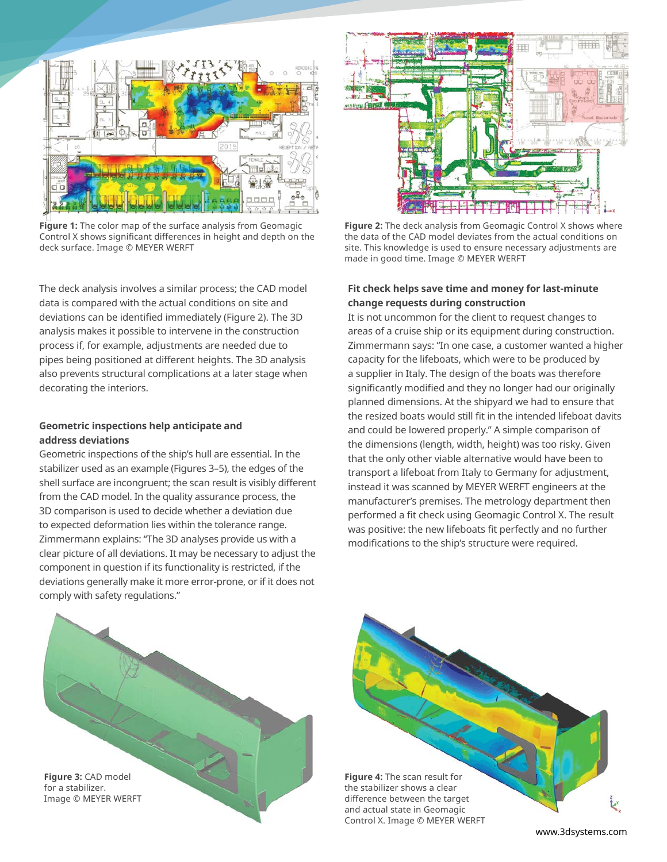

**Figure 1:** The color map of the surface analysis from Geomagic Control X shows significant differences in height and depth on the deck surface. Image © MEYER WERFT

The deck analysis involves a similar process; the CAD model data is compared with the actual conditions on site and deviations can be identified immediately (Figure 2). The 3D analysis makes it possible to intervene in the construction process if, for example, adjustments are needed due to pipes being positioned at different heights. The 3D analysis also prevents structural complications at a later stage when decorating the interiors.

#### **Geometric inspections help anticipate and address deviations**

Geometric inspections of the ship's hull are essential. In the stabilizer used as an example (Figures 3–5), the edges of the shell surface are incongruent; the scan result is visibly different from the CAD model. In the quality assurance process, the 3D comparison is used to decide whether a deviation due to expected deformation lies within the tolerance range. Zimmermann explains: "The 3D analyses provide us with a clear picture of all deviations. It may be necessary to adjust the component in question if its functionality is restricted, if the deviations generally make it more error-prone, or if it does not comply with safety regulations."



**Figure 2:** The deck analysis from Geomagic Control X shows where the data of the CAD model deviates from the actual conditions on site. This knowledge is used to ensure necessary adjustments are made in good time. Image © MEYER WERFT

#### **Fit check helps save time and money for last-minute change requests during construction**

It is not uncommon for the client to request changes to areas of a cruise ship or its equipment during construction. Zimmermann says: "In one case, a customer wanted a higher capacity for the lifeboats, which were to be produced by a supplier in Italy. The design of the boats was therefore significantly modified and they no longer had our originally planned dimensions. At the shipyard we had to ensure that the resized boats would still fit in the intended lifeboat davits and could be lowered properly." A simple comparison of the dimensions (length, width, height) was too risky. Given that the only other viable alternative would have been to transport a lifeboat from Italy to Germany for adjustment, instead it was scanned by MEYER WERFT engineers at the manufacturer's premises. The metrology department then performed a fit check using Geomagic Control X. The result was positive: the new lifeboats fit perfectly and no further modifications to the ship's structure were required.